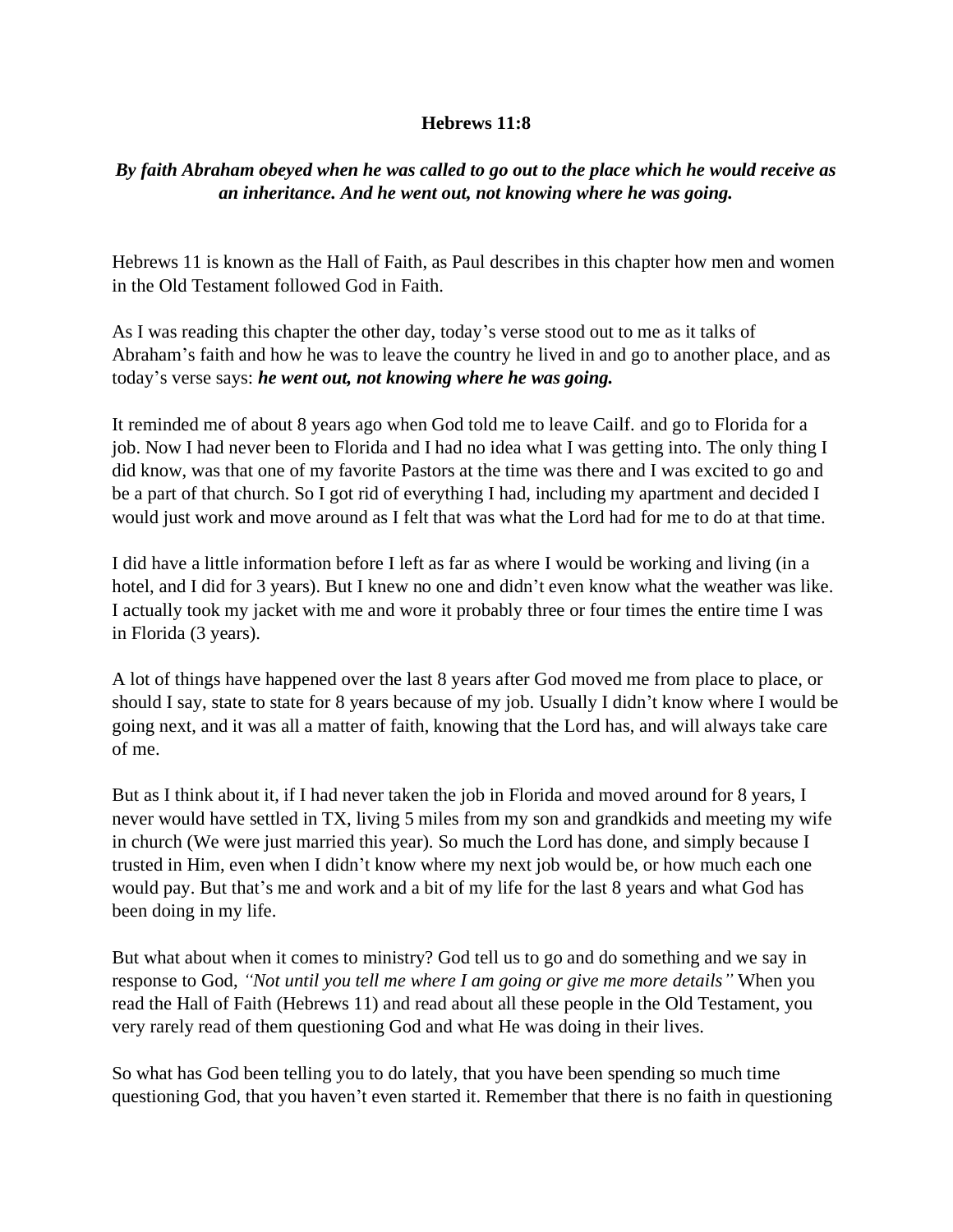## **Hebrews 11:8**

## *By faith Abraham obeyed when he was called to go out to the place which he would receive as an inheritance. And he went out, not knowing where he was going.*

Hebrews 11 is known as the Hall of Faith, as Paul describes in this chapter how men and women in the Old Testament followed God in Faith.

As I was reading this chapter the other day, today's verse stood out to me as it talks of Abraham's faith and how he was to leave the country he lived in and go to another place, and as today's verse says: *he went out, not knowing where he was going.*

It reminded me of about 8 years ago when God told me to leave Cailf. and go to Florida for a job. Now I had never been to Florida and I had no idea what I was getting into. The only thing I did know, was that one of my favorite Pastors at the time was there and I was excited to go and be a part of that church. So I got rid of everything I had, including my apartment and decided I would just work and move around as I felt that was what the Lord had for me to do at that time.

I did have a little information before I left as far as where I would be working and living (in a hotel, and I did for 3 years). But I knew no one and didn't even know what the weather was like. I actually took my jacket with me and wore it probably three or four times the entire time I was in Florida (3 years).

A lot of things have happened over the last 8 years after God moved me from place to place, or should I say, state to state for 8 years because of my job. Usually I didn't know where I would be going next, and it was all a matter of faith, knowing that the Lord has, and will always take care of me.

But as I think about it, if I had never taken the job in Florida and moved around for 8 years, I never would have settled in TX, living 5 miles from my son and grandkids and meeting my wife in church (We were just married this year). So much the Lord has done, and simply because I trusted in Him, even when I didn't know where my next job would be, or how much each one would pay. But that's me and work and a bit of my life for the last 8 years and what God has been doing in my life.

But what about when it comes to ministry? God tell us to go and do something and we say in response to God, *"Not until you tell me where I am going or give me more details"* When you read the Hall of Faith (Hebrews 11) and read about all these people in the Old Testament, you very rarely read of them questioning God and what He was doing in their lives.

So what has God been telling you to do lately, that you have been spending so much time questioning God, that you haven't even started it. Remember that there is no faith in questioning